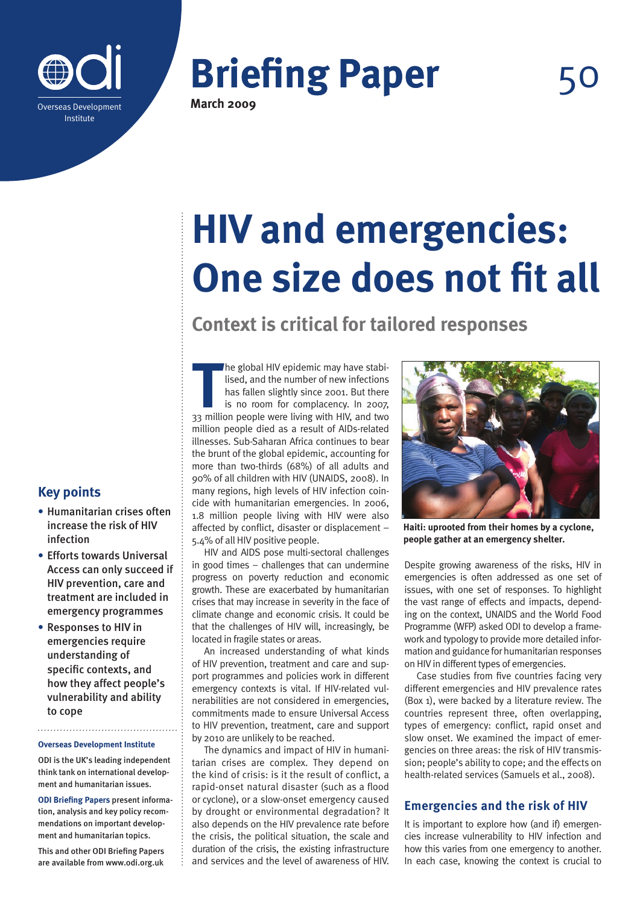



# **HIV and emergencies: One size does not fit all**

# **Context is critical for tailored responses**

**The global HIV epidemic may have stabilised, and the number of new infections has fallen slightly since 2001. But there is no room for complacency. In 2007, 33 million people were living with HIV, and two** he global HIV epidemic may have stabilised, and the number of new infections has fallen slightly since 2001. But there is no room for complacency. In 2007, million people died as a result of AIDs-related illnesses. Sub-Saharan Africa continues to bear the brunt of the global epidemic, accounting for more than two-thirds (68%) of all adults and 90% of all children with HIV (UNAIDS, 2008). In many regions, high levels of HIV infection coincide with humanitarian emergencies. In 2006, 1.8 million people living with HIV were also affected by conflict, disaster or displacement – 5.4% of all HIV positive people.

HIV and AIDS pose multi-sectoral challenges in good times – challenges that can undermine progress on poverty reduction and economic growth. These are exacerbated by humanitarian crises that may increase in severity in the face of climate change and economic crisis. It could be that the challenges of HIV will, increasingly, be located in fragile states or areas.

An increased understanding of what kinds of HIV prevention, treatment and care and support programmes and policies work in different emergency contexts is vital. If HIV-related vulnerabilities are not considered in emergencies, commitments made to ensure Universal Access to HIV prevention, treatment, care and support by 2010 are unlikely to be reached.

The dynamics and impact of HIV in humanitarian crises are complex. They depend on the kind of crisis: is it the result of conflict, a rapid-onset natural disaster (such as a flood or cyclone), or a slow-onset emergency caused by drought or environmental degradation? It also depends on the HIV prevalence rate before the crisis, the political situation, the scale and duration of the crisis, the existing infrastructure and services and the level of awareness of HIV.



**Haiti: uprooted from their homes by a cyclone, people gather at an emergency shelter.**

Despite growing awareness of the risks, HIV in emergencies is often addressed as one set of issues, with one set of responses. To highlight the vast range of effects and impacts, depending on the context, UNAIDS and the World Food Programme (WFP) asked ODI to develop a framework and typology to provide more detailed information and guidance for humanitarian responses on HIV in different types of emergencies.

Case studies from five countries facing very different emergencies and HIV prevalence rates (Box 1), were backed by a literature review. The countries represent three, often overlapping, types of emergency: conflict, rapid onset and slow onset. We examined the impact of emergencies on three areas: the risk of HIV transmission; people's ability to cope; and the effects on health-related services (Samuels et al., 2008).

## **Emergencies and the risk of HIV**

It is important to explore how (and if) emergencies increase vulnerability to HIV infection and how this varies from one emergency to another. In each case, knowing the context is crucial to

# **Key points**

- **•** Humanitarian crises often increase the risk of HIV infection
- **•** Efforts towards Universal Access can only succeed if HIV prevention, care and treatment are included in emergency programmes
- **•** Responses to HIV in emergencies require understanding of specific contexts, and how they affect people's vulnerability and ability to cope

#### **Overseas Development Institute**

ODI is the UK's leading independent think tank on international development and humanitarian issues.

**ODI Briefing Papers** present information, analysis and key policy recommendations on important development and humanitarian topics.

This and other ODI Briefing Papers are available from www.odi.org.uk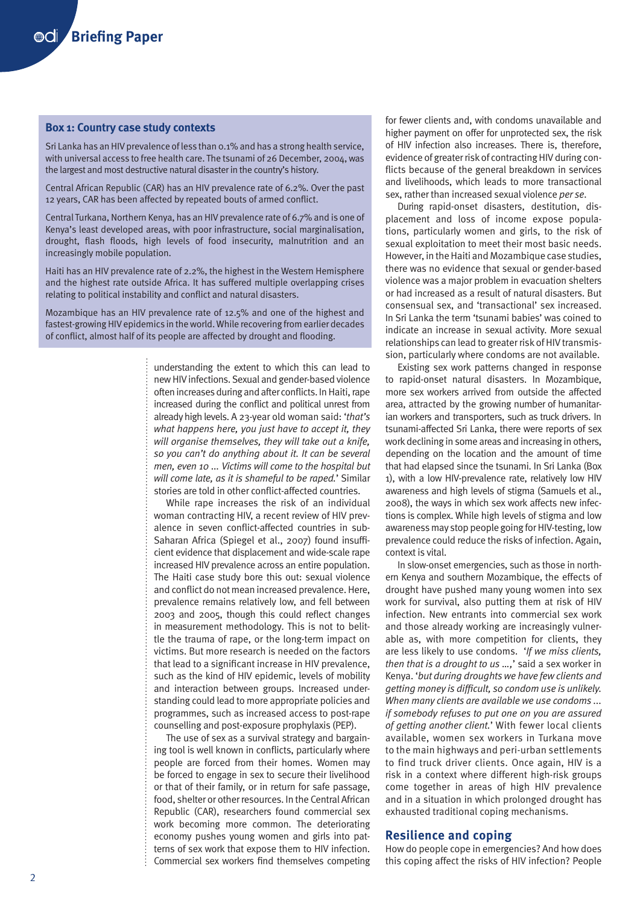#### **Box 1: Country case study contexts**

Sri Lanka has an HIV prevalence of less than 0.1% and has a strong health service, with universal access to free health care. The tsunami of 26 December, 2004, was the largest and most destructive natural disaster in the country's history.

Central African Republic (CAR) has an HIV prevalence rate of 6.2%. Over the past 12 years, CAR has been affected by repeated bouts of armed conflict.

Central Turkana, Northern Kenya, has an HIV prevalence rate of 6.7% and is one of Kenya's least developed areas, with poor infrastructure, social marginalisation, drought, flash floods, high levels of food insecurity, malnutrition and an increasingly mobile population.

Haiti has an HIV prevalence rate of 2.2%, the highest in the Western Hemisphere and the highest rate outside Africa. It has suffered multiple overlapping crises relating to political instability and conflict and natural disasters.

Mozambique has an HIV prevalence rate of 12.5% and one of the highest and fastest-growing HIV epidemics in the world. While recovering from earlier decades of conflict, almost half of its people are affected by drought and flooding.

> understanding the extent to which this can lead to new HIV infections. Sexual and gender-based violence often increases during and after conflicts. In Haiti, rape increased during the conflict and political unrest from already high levels. A 23-year old woman said: '*that's what happens here, you just have to accept it, they will organise themselves, they will take out a knife, so you can't do anything about it. It can be several men, even 10 ... Victims will come to the hospital but will come late, as it is shameful to be raped.*' Similar stories are told in other conflict-affected countries.

> While rape increases the risk of an individual woman contracting HIV, a recent review of HIV prevalence in seven conflict-affected countries in sub-Saharan Africa (Spiegel et al., 2007) found insufficient evidence that displacement and wide-scale rape increased HIV prevalence across an entire population. The Haiti case study bore this out: sexual violence and conflict do not mean increased prevalence. Here, prevalence remains relatively low, and fell between 2003 and 2005, though this could reflect changes in measurement methodology. This is not to belittle the trauma of rape, or the long-term impact on victims. But more research is needed on the factors that lead to a significant increase in HIV prevalence, such as the kind of HIV epidemic, levels of mobility and interaction between groups. Increased understanding could lead to more appropriate policies and programmes, such as increased access to post-rape counselling and post-exposure prophylaxis (PEP).

> The use of sex as a survival strategy and bargaining tool is well known in conflicts, particularly where people are forced from their homes. Women may be forced to engage in sex to secure their livelihood or that of their family, or in return for safe passage, food, shelter or other resources. In the Central African Republic (CAR), researchers found commercial sex work becoming more common. The deteriorating economy pushes young women and girls into patterns of sex work that expose them to HIV infection. Commercial sex workers find themselves competing

for fewer clients and, with condoms unavailable and higher payment on offer for unprotected sex, the risk of HIV infection also increases. There is, therefore, evidence of greater risk of contracting HIV during conflicts because of the general breakdown in services and livelihoods, which leads to more transactional sex, rather than increased sexual violence *per se*.

During rapid-onset disasters, destitution, displacement and loss of income expose populations, particularly women and girls, to the risk of sexual exploitation to meet their most basic needs. However, in the Haiti and Mozambique case studies, there was no evidence that sexual or gender-based violence was a major problem in evacuation shelters or had increased as a result of natural disasters. But consensual sex, and 'transactional' sex increased. In Sri Lanka the term 'tsunami babies' was coined to indicate an increase in sexual activity. More sexual relationships can lead to greater risk of HIV transmission, particularly where condoms are not available.

Existing sex work patterns changed in response to rapid-onset natural disasters. In Mozambique, more sex workers arrived from outside the affected area, attracted by the growing number of humanitarian workers and transporters, such as truck drivers. In tsunami-affected Sri Lanka, there were reports of sex work declining in some areas and increasing in others, depending on the location and the amount of time that had elapsed since the tsunami. In Sri Lanka (Box 1), with a low HIV-prevalence rate, relatively low HIV awareness and high levels of stigma (Samuels et al., 2008), the ways in which sex work affects new infections is complex. While high levels of stigma and low awareness may stop people going for HIV-testing, low prevalence could reduce the risks of infection. Again, context is vital.

In slow-onset emergencies, such as those in northern Kenya and southern Mozambique, the effects of drought have pushed many young women into sex work for survival, also putting them at risk of HIV infection. New entrants into commercial sex work and those already working are increasingly vulnerable as, with more competition for clients, they are less likely to use condoms. '*If we miss clients, then that is a drought to us …,*' said a sex worker in Kenya. '*but during droughts we have few clients and getting money is difficult, so condom use is unlikely. When many clients are available we use condoms ... if somebody refuses to put one on you are assured of getting another client.*' With fewer local clients available, women sex workers in Turkana move to the main highways and peri-urban settlements to find truck driver clients. Once again, HIV is a risk in a context where different high-risk groups come together in areas of high HIV prevalence and in a situation in which prolonged drought has exhausted traditional coping mechanisms.

#### **Resilience and coping**

How do people cope in emergencies? And how does this coping affect the risks of HIV infection? People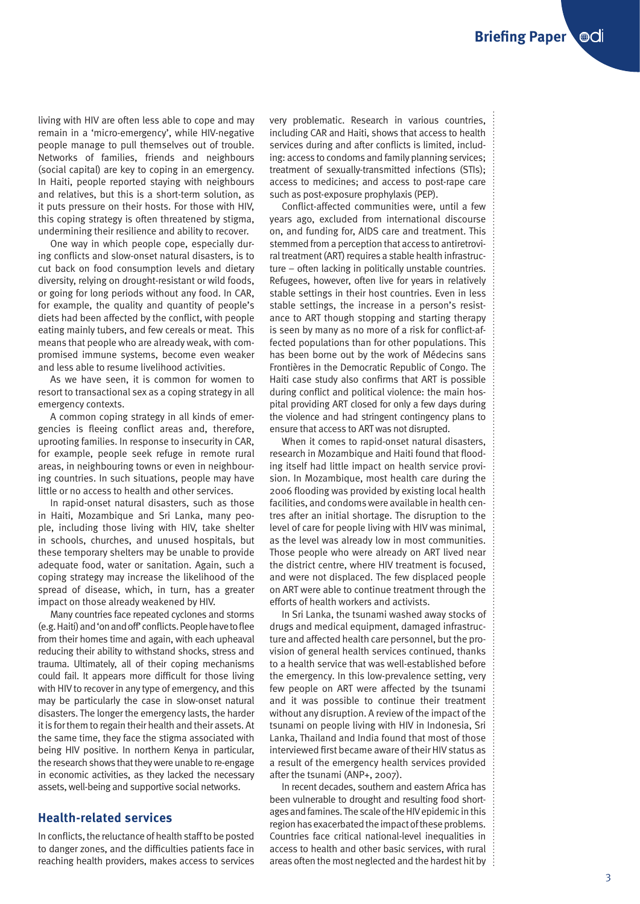living with HIV are often less able to cope and may remain in a 'micro-emergency', while HIV-negative people manage to pull themselves out of trouble. Networks of families, friends and neighbours (social capital) are key to coping in an emergency. In Haiti, people reported staying with neighbours and relatives, but this is a short-term solution, as it puts pressure on their hosts. For those with HIV, this coping strategy is often threatened by stigma, undermining their resilience and ability to recover.

One way in which people cope, especially during conflicts and slow-onset natural disasters, is to cut back on food consumption levels and dietary diversity, relying on drought-resistant or wild foods, or going for long periods without any food. In CAR, for example, the quality and quantity of people's diets had been affected by the conflict, with people eating mainly tubers, and few cereals or meat. This means that people who are already weak, with compromised immune systems, become even weaker and less able to resume livelihood activities.

As we have seen, it is common for women to resort to transactional sex as a coping strategy in all emergency contexts.

A common coping strategy in all kinds of emergencies is fleeing conflict areas and, therefore, uprooting families. In response to insecurity in CAR, for example, people seek refuge in remote rural areas, in neighbouring towns or even in neighbouring countries. In such situations, people may have little or no access to health and other services.

In rapid-onset natural disasters, such as those in Haiti, Mozambique and Sri Lanka, many people, including those living with HIV, take shelter in schools, churches, and unused hospitals, but these temporary shelters may be unable to provide adequate food, water or sanitation. Again, such a coping strategy may increase the likelihood of the spread of disease, which, in turn, has a greater impact on those already weakened by HIV.

Many countries face repeated cyclones and storms (e.g. Haiti) and 'on and off' conflicts. People have to flee from their homes time and again, with each upheaval reducing their ability to withstand shocks, stress and trauma. Ultimately, all of their coping mechanisms could fail. It appears more difficult for those living with HIV to recover in any type of emergency, and this may be particularly the case in slow-onset natural disasters. The longer the emergency lasts, the harder it is for them to regain their health and their assets. At the same time, they face the stigma associated with being HIV positive. In northern Kenya in particular, the research shows that they were unable to re-engage in economic activities, as they lacked the necessary assets, well-being and supportive social networks.

### **Health-related services**

In conflicts, the reluctance of health staff to be posted to danger zones, and the difficulties patients face in reaching health providers, makes access to services

very problematic. Research in various countries, including CAR and Haiti, shows that access to health services during and after conflicts is limited, including: access to condoms and family planning services; treatment of sexually-transmitted infections (STIs); access to medicines; and access to post-rape care such as post-exposure prophylaxis (PEP).

Conflict-affected communities were, until a few years ago, excluded from international discourse on, and funding for, AIDS care and treatment. This stemmed from a perception that access to antiretroviral treatment (ART) requires a stable health infrastructure – often lacking in politically unstable countries. Refugees, however, often live for years in relatively stable settings in their host countries. Even in less stable settings, the increase in a person's resistance to ART though stopping and starting therapy is seen by many as no more of a risk for conflict-affected populations than for other populations. This has been borne out by the work of Médecins sans Frontières in the Democratic Republic of Congo. The Haiti case study also confirms that ART is possible during conflict and political violence: the main hospital providing ART closed for only a few days during the violence and had stringent contingency plans to ensure that access to ART was not disrupted.

When it comes to rapid-onset natural disasters, research in Mozambique and Haiti found that flooding itself had little impact on health service provision. In Mozambique, most health care during the 2006 flooding was provided by existing local health facilities, and condoms were available in health centres after an initial shortage. The disruption to the level of care for people living with HIV was minimal, as the level was already low in most communities. Those people who were already on ART lived near the district centre, where HIV treatment is focused, and were not displaced. The few displaced people on ART were able to continue treatment through the efforts of health workers and activists.

In Sri Lanka, the tsunami washed away stocks of drugs and medical equipment, damaged infrastructure and affected health care personnel, but the provision of general health services continued, thanks to a health service that was well-established before the emergency. In this low-prevalence setting, very few people on ART were affected by the tsunami and it was possible to continue their treatment without any disruption. A review of the impact of the tsunami on people living with HIV in Indonesia, Sri Lanka, Thailand and India found that most of those interviewed first became aware of their HIV status as a result of the emergency health services provided after the tsunami (ANP+, 2007).

In recent decades, southern and eastern Africa has been vulnerable to drought and resulting food shortages and famines. The scale of the HIV epidemic in this region has exacerbated the impact of these problems. Countries face critical national-level inequalities in access to health and other basic services, with rural areas often the most neglected and the hardest hit by  $\frac{1}{2}$